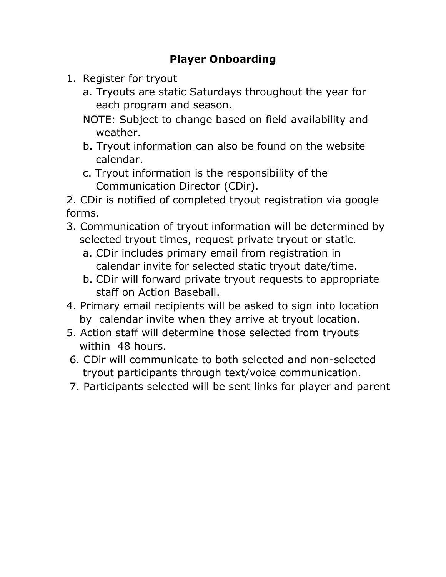## **Player Onboarding**

- 1. Register for tryout
	- a. Tryouts are static Saturdays throughout the year for each program and season.
	- NOTE: Subject to change based on field availability and weather.
	- b. Tryout information can also be found on the website calendar.
	- c. Tryout information is the responsibility of the Communication Director (CDir).

2. CDir is notified of completed tryout registration via google forms.

- 3. Communication of tryout information will be determined by selected tryout times, request private tryout or static.
	- a. CDir includes primary email from registration in calendar invite for selected static tryout date/time.
	- b. CDir will forward private tryout requests to appropriate staff on Action Baseball.
- 4. Primary email recipients will be asked to sign into location by calendar invite when they arrive at tryout location.
- 5. Action staff will determine those selected from tryouts within 48 hours.
- 6. CDir will communicate to both selected and non-selected tryout participants through text/voice communication.
- 7. Participants selected will be sent links for player and parent